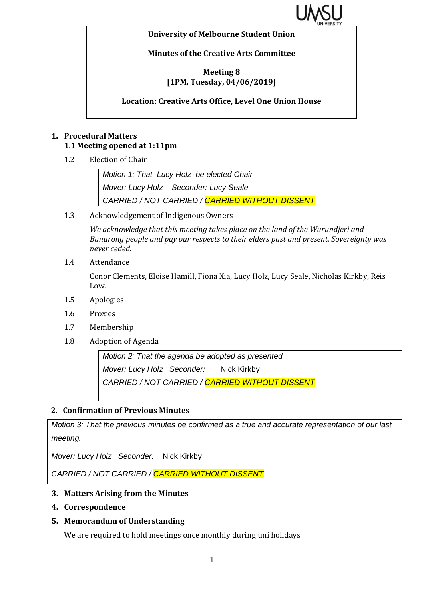

#### **University of Melbourne Student Union**

**Minutes of the Creative Arts Committee**

#### **Meeting 8 [1PM, Tuesday, 04/06/2019]**

**Location: Creative Arts Office, Level One Union House**

## **1. Procedural Matters 1.1 Meeting opened at 1:11pm**

1.2 Election of Chair

*Motion 1: That Lucy Holz be elected Chair Mover: Lucy Holz Seconder: Lucy Seale CARRIED / NOT CARRIED / CARRIED WITHOUT DISSENT*

1.3 Acknowledgement of Indigenous Owners

*We acknowledge that this meeting takes place on the land of the Wurundjeri and Bunurong people and pay our respects to their elders past and present. Sovereignty was never ceded.* 

1.4 Attendance

Conor Clements, Eloise Hamill, Fiona Xia, Lucy Holz, Lucy Seale, Nicholas Kirkby, Reis Low.

- 1.5 Apologies
- 1.6 Proxies
- 1.7 Membership
- 1.8 Adoption of Agenda

*Motion 2: That the agenda be adopted as presented Mover: Lucy Holz Seconder:* Nick Kirkby *CARRIED / NOT CARRIED / CARRIED WITHOUT DISSENT*

#### **2. Confirmation of Previous Minutes**

*Motion 3: That the previous minutes be confirmed as a true and accurate representation of our last meeting.*

*Mover: Lucy Holz Seconder:* Nick Kirkby

*CARRIED / NOT CARRIED / CARRIED WITHOUT DISSENT*

#### **3. Matters Arising from the Minutes**

- **4. Correspondence**
- **5. Memorandum of Understanding**

We are required to hold meetings once monthly during uni holidays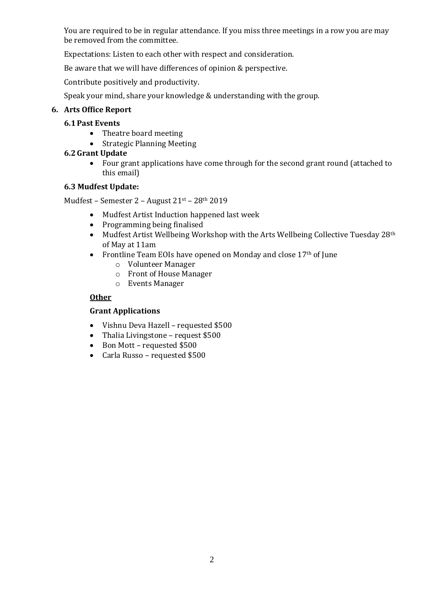You are required to be in regular attendance. If you miss three meetings in a row you are may be removed from the committee.

Expectations: Listen to each other with respect and consideration.

Be aware that we will have differences of opinion & perspective.

Contribute positively and productivity.

Speak your mind, share your knowledge & understanding with the group.

## **6. Arts Office Report**

## **6.1Past Events**

- Theatre board meeting
- Strategic Planning Meeting

# **6.2Grant Update**

• Four grant applications have come through for the second grant round (attached to this email)

## **6.3 Mudfest Update:**

Mudfest – Semester 2 – August 21st – 28th 2019

- Mudfest Artist Induction happened last week
- Programming being finalised
- Mudfest Artist Wellbeing Workshop with the Arts Wellbeing Collective Tuesday 28<sup>th</sup> of May at 11am
- Frontline Team EOIs have opened on Monday and close 17<sup>th</sup> of June
	- o Volunteer Manager
	- o Front of House Manager
	- o Events Manager

## **Other**

#### **Grant Applications**

- Vishnu Deva Hazell requested \$500
- Thalia Livingstone request \$500
- Bon Mott requested \$500
- Carla Russo requested \$500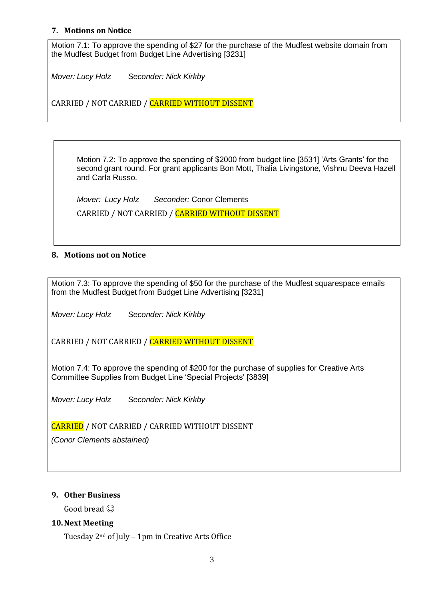#### **7. Motions on Notice**

Motion 7.1: To approve the spending of \$27 for the purchase of the Mudfest website domain from the Mudfest Budget from Budget Line Advertising [3231]

*Mover: Lucy Holz Seconder: Nick Kirkby*

CARRIED / NOT CARRIED / CARRIED WITHOUT DISSENT

Motion 7.2: To approve the spending of \$2000 from budget line [3531] 'Arts Grants' for the second grant round. For grant applicants Bon Mott, Thalia Livingstone, Vishnu Deeva Hazell and Carla Russo.

*Mover: Lucy Holz Seconder:* Conor Clements CARRIED / NOT CARRIED / CARRIED WITHOUT DISSENT

#### **8. Motions not on Notice**

Motion 7.3: To approve the spending of \$50 for the purchase of the Mudfest squarespace emails from the Mudfest Budget from Budget Line Advertising [3231]

*Mover: Lucy Holz Seconder: Nick Kirkby* 

CARRIED / NOT CARRIED / CARRIED WITHOUT DISSENT

Motion 7.4: To approve the spending of \$200 for the purchase of supplies for Creative Arts Committee Supplies from Budget Line 'Special Projects' [3839]

*Mover: Lucy Holz Seconder: Nick Kirkby*

CARRIED / NOT CARRIED / CARRIED WITHOUT DISSENT

*(Conor Clements abstained)*

#### **9. Other Business**

Good bread  $\odot$ 

#### **10.Next Meeting**

Tuesday 2nd of July – 1pm in Creative Arts Office